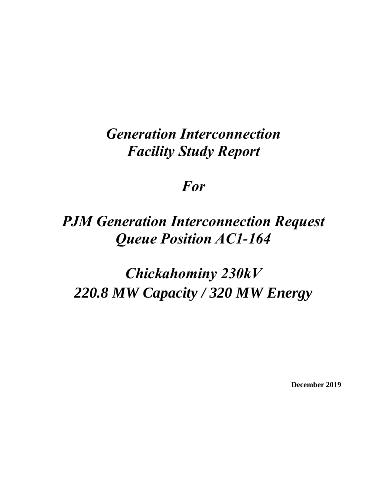## *Generation Interconnection Facility Study Report*

## *For*

## *PJM Generation Interconnection Request Queue Position AC1-164*

# *Chickahominy 230kV 220.8 MW Capacity / 320 MW Energy*

**December 2019**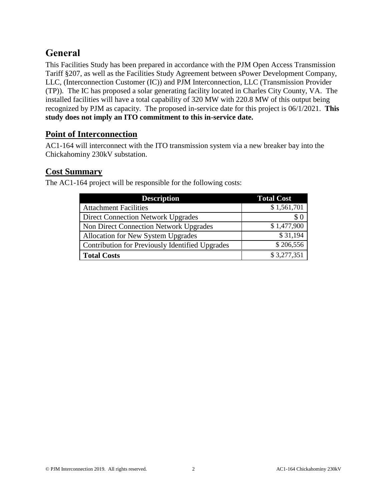## **General**

This Facilities Study has been prepared in accordance with the PJM Open Access Transmission Tariff §207, as well as the Facilities Study Agreement between sPower Development Company, LLC, (Interconnection Customer (IC)) and PJM Interconnection, LLC (Transmission Provider (TP)). The IC has proposed a solar generating facility located in Charles City County, VA. The installed facilities will have a total capability of 320 MW with 220.8 MW of this output being recognized by PJM as capacity. The proposed in-service date for this project is 06/1/2021. **This study does not imply an ITO commitment to this in-service date.**

#### **Point of Interconnection**

AC1-164 will interconnect with the ITO transmission system via a new breaker bay into the Chickahominy 230kV substation.

#### **Cost Summary**

The AC1-164 project will be responsible for the following costs:

| <b>Description</b>                              | <b>Total Cost</b> |  |
|-------------------------------------------------|-------------------|--|
| <b>Attachment Facilities</b>                    | \$1,561,701       |  |
| <b>Direct Connection Network Upgrades</b>       | \$0               |  |
| Non Direct Connection Network Upgrades          | \$1,477,900       |  |
| Allocation for New System Upgrades              | \$31,194          |  |
| Contribution for Previously Identified Upgrades | \$206,556         |  |
| <b>Total Costs</b>                              | \$3,277,351       |  |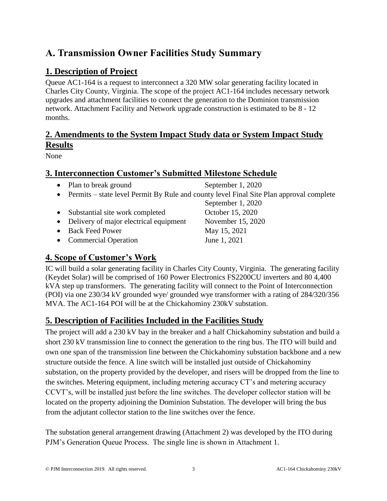## **A. Transmission Owner Facilities Study Summary**

## **1. Description of Project**

Queue AC1-164 is a request to interconnect a 320 MW solar generating facility located in Charles City County, Virginia. The scope of the project AC1-164 includes necessary network upgrades and attachment facilities to connect the generation to the Dominion transmission network. Attachment Facility and Network upgrade construction is estimated to be 8 - 12 months.

## **2. Amendments to the System Impact Study data or System Impact Study Results**

None

#### **3. Interconnection Customer's Submitted Milestone Schedule**

- Plan to break ground September 1, 2020
	-

September 1, 2020

- Permits state level Permit By Rule and county level Final Site Plan approval complete
- Substantial site work completed October 15, 2020
- Delivery of major electrical equipment November 15, 2020
- Back Feed Power May 15, 2021
- Commercial Operation June 1, 2021

## **4. Scope of Customer's Work**

IC will build a solar generating facility in Charles City County, Virginia. The generating facility (Keydet Solar) will be comprised of 160 Power Electronics FS2200CU inverters and 80 4,400 kVA step up transformers. The generating facility will connect to the Point of Interconnection (POI) via one 230/34 kV grounded wye/ grounded wye transformer with a rating of 284/320/356 MVA. The AC1-164 POI will be at the Chickahominy 230kV substation.

## **5. Description of Facilities Included in the Facilities Study**

The project will add a 230 kV bay in the breaker and a half Chickahominy substation and build a short 230 kV transmission line to connect the generation to the ring bus. The ITO will build and own one span of the transmission line between the Chickahominy substation backbone and a new structure outside the fence. A line switch will be installed just outside of Chickahominy substation, on the property provided by the developer, and risers will be dropped from the line to the switches. Metering equipment, including metering accuracy CT's and metering accuracy CCVT's, will be installed just before the line switches. The developer collector station will be located on the property adjoining the Dominion Substation. The developer will bring the bus from the adjutant collector station to the line switches over the fence.

The substation general arrangement drawing (Attachment 2) was developed by the ITO during PJM's Generation Queue Process. The single line is shown in Attachment 1.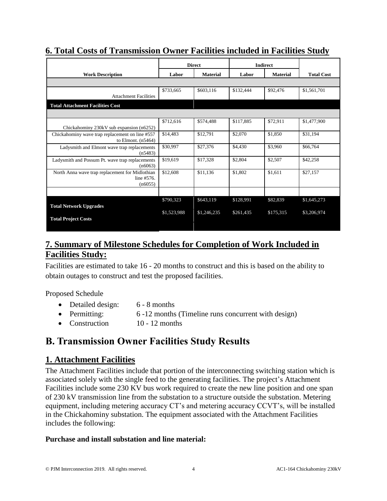|                                                 | <b>Direct</b> |                 | <b>Indirect</b> |                 |                   |
|-------------------------------------------------|---------------|-----------------|-----------------|-----------------|-------------------|
| <b>Work Description</b>                         | Labor         | <b>Material</b> | Labor           | <b>Material</b> | <b>Total Cost</b> |
|                                                 |               |                 |                 |                 |                   |
|                                                 | \$733,665     | \$603,116       | \$132,444       | \$92,476        | \$1,561,701       |
| <b>Attachment Facilities</b>                    |               |                 |                 |                 |                   |
| <b>Total Attachment Facilities Cost</b>         |               |                 |                 |                 |                   |
|                                                 |               |                 |                 |                 |                   |
|                                                 | \$712,616     | \$574,488       | \$117,885       | \$72,911        | \$1,477,900       |
| Chickahominy 230kV sub expansion (n6252)        |               |                 |                 |                 |                   |
| Chickahominy wave trap replacement on line #557 | \$14,483      | \$12,791        | \$2,070         | \$1,850         | \$31,194          |
| to Elmont. $(n5464)$                            |               |                 |                 |                 |                   |
| Ladysmith and Elmont wave trap replacements     | \$30,997      | \$27,376        | \$4,430         | \$3,960         | \$66,764          |
| (n5483)                                         |               |                 |                 |                 |                   |
| Ladysmith and Possum Pt. wave trap replacements | \$19,619      | \$17,328        | \$2,804         | \$2,507         | \$42,258          |
| (n6063)                                         |               |                 |                 |                 |                   |
| North Anna wave trap replacement for Midlothian | \$12,608      | \$11,136        | \$1,802         | \$1,611         | \$27,157          |
| line #576.                                      |               |                 |                 |                 |                   |
| (n6055)                                         |               |                 |                 |                 |                   |
|                                                 |               |                 |                 |                 |                   |
|                                                 | \$790,323     | \$643,119       | \$128,991       | \$82,839        | \$1,645,273       |
| <b>Total Network Upgrades</b>                   |               |                 |                 |                 |                   |
|                                                 | \$1,523,988   | \$1,246,235     | \$261,435       | \$175,315       | \$3,206,974       |
| <b>Total Project Costs</b>                      |               |                 |                 |                 |                   |
|                                                 |               |                 |                 |                 |                   |
|                                                 |               |                 |                 |                 |                   |

## **6. Total Costs of Transmission Owner Facilities included in Facilities Study**

## **7. Summary of Milestone Schedules for Completion of Work Included in Facilities Study:**

Facilities are estimated to take 16 - 20 months to construct and this is based on the ability to obtain outages to construct and test the proposed facilities.

Proposed Schedule

• Detailed design: 6 - 8 months • Permitting: 6 -12 months (Timeline runs concurrent with design) • Construction 10 - 12 months

## **B. Transmission Owner Facilities Study Results**

## **1. Attachment Facilities**

The Attachment Facilities include that portion of the interconnecting switching station which is associated solely with the single feed to the generating facilities. The project's Attachment Facilities include some 230 KV bus work required to create the new line position and one span of 230 kV transmission line from the substation to a structure outside the substation. Metering equipment, including metering accuracy CT's and metering accuracy CCVT's, will be installed in the Chickahominy substation. The equipment associated with the Attachment Facilities includes the following:

#### **Purchase and install substation and line material:**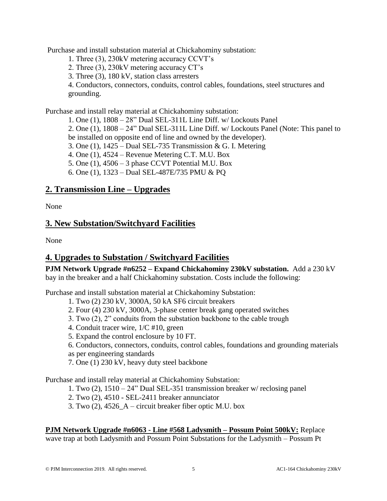Purchase and install substation material at Chickahominy substation:

1. Three (3), 230kV metering accuracy CCVT's

- 2. Three (3), 230kV metering accuracy CT's
- 3. Three (3), 180 kV, station class arresters

4. Conductors, connectors, conduits, control cables, foundations, steel structures and grounding.

Purchase and install relay material at Chickahominy substation:

1. One (1), 1808 – 28" Dual SEL-311L Line Diff. w/ Lockouts Panel 2. One (1), 1808 – 24" Dual SEL-311L Line Diff. w/ Lockouts Panel (Note: This panel to be installed on opposite end of line and owned by the developer).

3. One (1),  $1425 - Dual SEL-735$  Transmission & G. I. Metering

4. One (1), 4524 – Revenue Metering C.T. M.U. Box

5. One (1), 4506 – 3 phase CCVT Potential M.U. Box

6. One (1), 1323 – Dual SEL-487E/735 PMU & PQ

#### **2. Transmission Line – Upgrades**

None

#### **3. New Substation/Switchyard Facilities**

None

### **4. Upgrades to Substation / Switchyard Facilities**

**PJM Network Upgrade #n6252 – Expand Chickahominy 230kV substation.** Add a 230 kV bay in the breaker and a half Chickahominy substation. Costs include the following:

Purchase and install substation material at Chickahominy Substation:

- 1. Two (2) 230 kV, 3000A, 50 kA SF6 circuit breakers
- 2. Four (4) 230 kV, 3000A, 3-phase center break gang operated switches
- 3. Two (2), 2" conduits from the substation backbone to the cable trough
- 4. Conduit tracer wire, 1/C #10, green
- 5. Expand the control enclosure by 10 FT.

6. Conductors, connectors, conduits, control cables, foundations and grounding materials as per engineering standards

7. One (1) 230 kV, heavy duty steel backbone

Purchase and install relay material at Chickahominy Substation:

1. Two (2), 1510 – 24" Dual SEL-351 transmission breaker w/ reclosing panel

2. Two (2), 4510 - SEL-2411 breaker annunciator

3. Two (2), 4526\_A – circuit breaker fiber optic M.U. box

### **PJM Network Upgrade #n6063 - Line #568 Ladysmith – Possum Point 500kV:** Replace

wave trap at both Ladysmith and Possum Point Substations for the Ladysmith – Possum Pt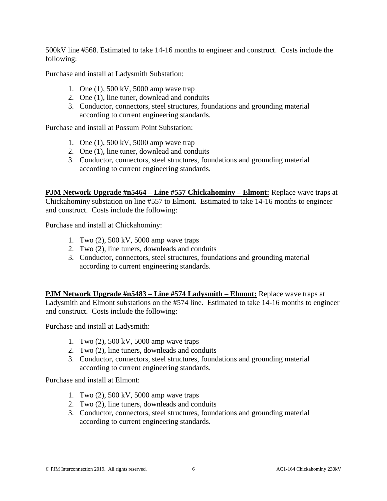500kV line #568. Estimated to take 14-16 months to engineer and construct. Costs include the following:

Purchase and install at Ladysmith Substation:

- 1. One (1), 500 kV, 5000 amp wave trap
- 2. One (1), line tuner, downlead and conduits
- 3. Conductor, connectors, steel structures, foundations and grounding material according to current engineering standards.

Purchase and install at Possum Point Substation:

- 1. One (1), 500 kV, 5000 amp wave trap
- 2. One (1), line tuner, downlead and conduits
- 3. Conductor, connectors, steel structures, foundations and grounding material according to current engineering standards.

**PJM Network Upgrade #n5464 – Line #557 Chickahominy – Elmont:** Replace wave traps at Chickahominy substation on line #557 to Elmont. Estimated to take 14-16 months to engineer and construct. Costs include the following:

Purchase and install at Chickahominy:

- 1. Two (2), 500 kV, 5000 amp wave traps
- 2. Two (2), line tuners, downleads and conduits
- 3. Conductor, connectors, steel structures, foundations and grounding material according to current engineering standards.

**PJM Network Upgrade #n5483 – Line #574 Ladysmith – Elmont:** Replace wave traps at Ladysmith and Elmont substations on the #574 line. Estimated to take 14-16 months to engineer and construct. Costs include the following:

Purchase and install at Ladysmith:

- 1. Two (2), 500 kV, 5000 amp wave traps
- 2. Two (2), line tuners, downleads and conduits
- 3. Conductor, connectors, steel structures, foundations and grounding material according to current engineering standards.

Purchase and install at Elmont:

- 1. Two (2), 500 kV, 5000 amp wave traps
- 2. Two (2), line tuners, downleads and conduits
- 3. Conductor, connectors, steel structures, foundations and grounding material according to current engineering standards.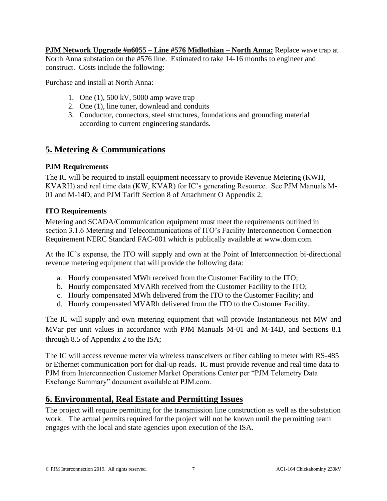**PJM Network Upgrade #n6055 – Line #576 Midlothian – North Anna:** Replace wave trap at North Anna substation on the #576 line. Estimated to take 14-16 months to engineer and construct. Costs include the following:

Purchase and install at North Anna:

- 1. One (1), 500 kV, 5000 amp wave trap
- 2. One (1), line tuner, downlead and conduits
- 3. Conductor, connectors, steel structures, foundations and grounding material according to current engineering standards.

### **5. Metering & Communications**

#### **PJM Requirements**

The IC will be required to install equipment necessary to provide Revenue Metering (KWH, KVARH) and real time data (KW, KVAR) for IC's generating Resource. See PJM Manuals M-01 and M-14D, and PJM Tariff Section 8 of Attachment O Appendix 2.

#### **ITO Requirements**

Metering and SCADA/Communication equipment must meet the requirements outlined in section 3.1.6 Metering and Telecommunications of ITO's Facility Interconnection Connection Requirement NERC Standard FAC-001 which is publically available at www.dom.com.

At the IC's expense, the ITO will supply and own at the Point of Interconnection bi-directional revenue metering equipment that will provide the following data:

- a. Hourly compensated MWh received from the Customer Facility to the ITO;
- b. Hourly compensated MVARh received from the Customer Facility to the ITO;
- c. Hourly compensated MWh delivered from the ITO to the Customer Facility; and
- d. Hourly compensated MVARh delivered from the ITO to the Customer Facility.

The IC will supply and own metering equipment that will provide Instantaneous net MW and MVar per unit values in accordance with PJM Manuals M-01 and M-14D, and Sections 8.1 through 8.5 of Appendix 2 to the ISA;

The IC will access revenue meter via wireless transceivers or fiber cabling to meter with RS-485 or Ethernet communication port for dial-up reads. IC must provide revenue and real time data to PJM from Interconnection Customer Market Operations Center per "PJM Telemetry Data Exchange Summary" document available at PJM.com.

## **6. Environmental, Real Estate and Permitting Issues**

The project will require permitting for the transmission line construction as well as the substation work. The actual permits required for the project will not be known until the permitting team engages with the local and state agencies upon execution of the ISA.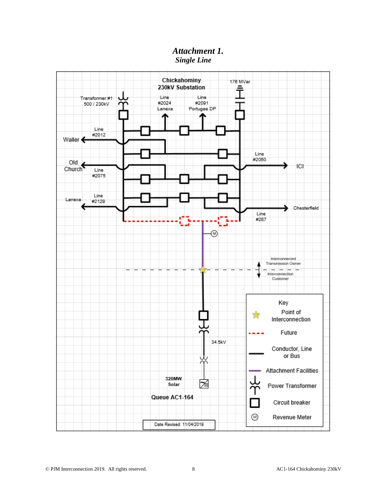#### *Attachment 1. Single Line*